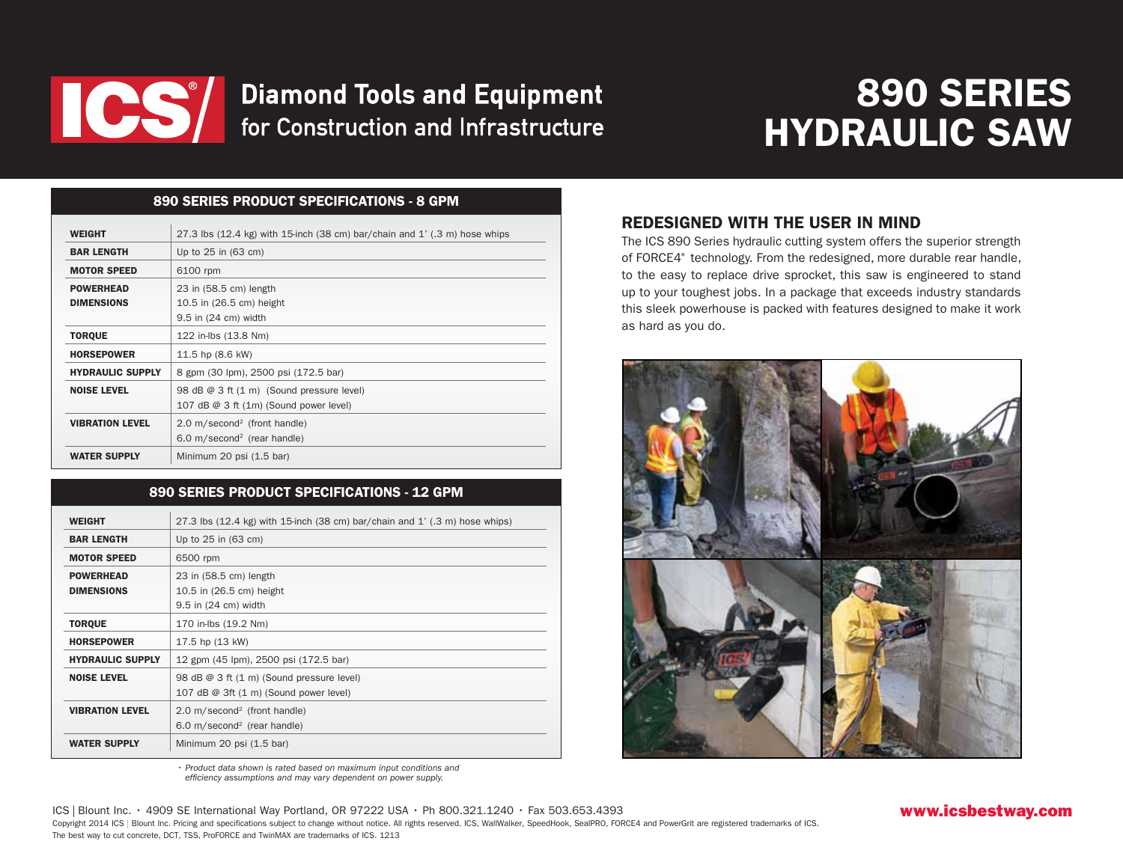

# **Diamond Tools and Equipment** for Construction and Infrastructure

# 890 SERIES HYDRAULIC SAW

### 890 series Product Specifications - 8 gpm

| <b>WEIGHT</b>           | 27.3 lbs $(12.4 \text{ kg})$ with 15-inch $(38 \text{ cm})$ bar/chain and 1' $(0.3 \text{ m})$ hose whips |
|-------------------------|-----------------------------------------------------------------------------------------------------------|
| <b>BAR LENGTH</b>       | Up to $25$ in $(63 \text{ cm})$                                                                           |
| <b>MOTOR SPEED</b>      | 6100 rpm                                                                                                  |
| <b>POWERHEAD</b>        | 23 in (58.5 cm) length                                                                                    |
| <b>DIMENSIONS</b>       | 10.5 in (26.5 cm) height                                                                                  |
|                         | 9.5 in (24 cm) width                                                                                      |
| <b>TORQUE</b>           | 122 in-lbs (13.8 Nm)                                                                                      |
| <b>HORSEPOWER</b>       | 11.5 hp (8.6 kW)                                                                                          |
| <b>HYDRAULIC SUPPLY</b> | 8 gpm (30 lpm), 2500 psi (172.5 bar)                                                                      |
| <b>NOISE LEVEL</b>      | 98 dB @ 3 ft (1 m) (Sound pressure level)                                                                 |
|                         | 107 dB $@$ 3 ft $(1m)$ (Sound power level)                                                                |
| <b>VIBRATION LEVEL</b>  | $2.0 \text{ m}/\text{second}^2$ (front handle)                                                            |
|                         | $6.0$ m/second <sup>2</sup> (rear handle)                                                                 |
| <b>WATER SUPPLY</b>     | Minimum 20 psi (1.5 bar)                                                                                  |

### 890 series Product Specifications - 12 gpm

| <b>WEIGHT</b>           | 27.3 lbs $(12.4 \text{ kg})$ with 15-inch $(38 \text{ cm})$ bar/chain and 1' $(.3 \text{ m})$ hose whips) |
|-------------------------|-----------------------------------------------------------------------------------------------------------|
| <b>BAR LENGTH</b>       | Up to 25 in (63 cm)                                                                                       |
| <b>MOTOR SPEED</b>      | 6500 rpm                                                                                                  |
| <b>POWERHEAD</b>        | 23 in (58.5 cm) length                                                                                    |
| <b>DIMENSIONS</b>       | 10.5 in (26.5 cm) height                                                                                  |
|                         | 9.5 in (24 cm) width                                                                                      |
| <b>TORQUE</b>           | 170 in-lbs (19.2 Nm)                                                                                      |
| <b>HORSEPOWER</b>       | 17.5 hp (13 kW)                                                                                           |
| <b>HYDRAULIC SUPPLY</b> | 12 gpm (45 lpm), 2500 psi (172.5 bar)                                                                     |
| <b>NOISE LEVEL</b>      | 98 dB @ 3 ft (1 m) (Sound pressure level)                                                                 |
|                         | 107 dB $@$ 3ft $(1 \text{ m})$ (Sound power level)                                                        |
| <b>VIBRATION LEVEL</b>  | $2.0 \text{ m}/\text{second}^2$ (front handle)                                                            |
|                         | 6.0 m/second <sup>2</sup> (rear handle)                                                                   |
| <b>WATER SUPPLY</b>     | Minimum 20 psi (1.5 bar)                                                                                  |

## Redesigned with the user in mind

The ICS 890 Series hydraulic cutting system offers the superior strength of FORCE4<sup>®</sup> technology. From the redesigned, more durable rear handle, to the easy to replace drive sprocket, this saw is engineered to stand up to your toughest jobs. In a package that exceeds industry standards this sleek powerhouse is packed with features designed to make it work as hard as you do.



• Product data shown is rated based on maximum input conditions and efficiency assumptions and may vary dependent on power supply.

ICS | Blount Inc. • 4909 SE International Way Portland, OR 97222 USA • Ph 800.321.1240 • Fax 503.653.4393 Copyright 2014 ICS | Blount Inc. Pricing and specifications subject to change without notice. All rights reserved. ICS, WallWalker, SpeedHook, SealPRO, FORCE4 and PowerGrit are registered trademarks of ICS. The best way to cut concrete, DCT, TSS, ProFORCE and TwinMAX are trademarks of ICS. 1213

### www.icsbestway.com